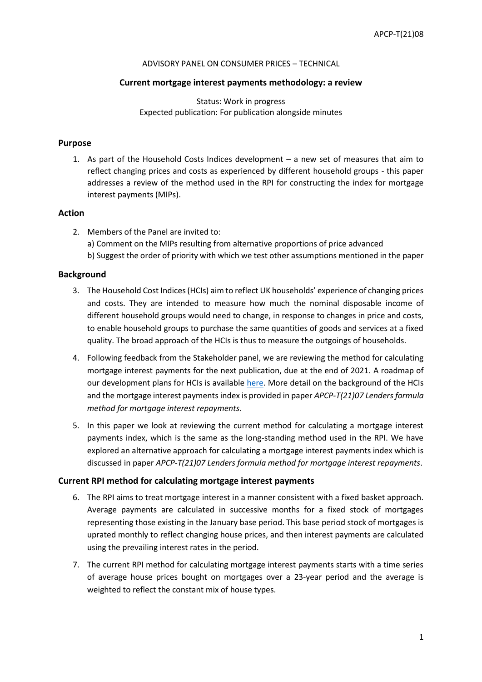#### ADVISORY PANEL ON CONSUMER PRICES – TECHNICAL

## **Current mortgage interest payments methodology: a review**

Status: Work in progress Expected publication: For publication alongside minutes

## **Purpose**

1. As part of the Household Costs Indices development – a new set of measures that aim to reflect changing prices and costs as experienced by different household groups - this paper addresses a review of the method used in the RPI for constructing the index for mortgage interest payments (MIPs).

## **Action**

2. Members of the Panel are invited to: a) Comment on the MIPs resulting from alternative proportions of price advanced b) Suggest the order of priority with which we test other assumptions mentioned in the paper

#### **Background**

- 3. The Household Cost Indices (HCIs) aim to reflect UK households' experience of changing prices and costs. They are intended to measure how much the nominal disposable income of different household groups would need to change, in response to changes in price and costs, to enable household groups to purchase the same quantities of goods and services at a fixed quality. The broad approach of the HCIs is thus to measure the outgoings of households.
- 4. Following feedback from the Stakeholder panel, we are reviewing the method for calculating mortgage interest payments for the next publication, due at the end of 2021. A roadmap of our development plans for HCIs is available [here.](https://uksa.statisticsauthority.gov.uk/wp-content/uploads/2020/12/Household_Cost_Indices_NS_Roadmap.pdf) More detail on the background of the HCIs and the mortgage interest payments index is provided in paper *APCP-T(21)07 Lenders formula method for mortgage interest repayments*.
- 5. In this paper we look at reviewing the current method for calculating a mortgage interest payments index, which is the same as the long-standing method used in the RPI. We have explored an alternative approach for calculating a mortgage interest payments index which is discussed in paper *APCP-T(21)07 Lenders formula method for mortgage interest repayments*.

#### **Current RPI method for calculating mortgage interest payments**

- 6. The RPI aims to treat mortgage interest in a manner consistent with a fixed basket approach. Average payments are calculated in successive months for a fixed stock of mortgages representing those existing in the January base period. This base period stock of mortgages is uprated monthly to reflect changing house prices, and then interest payments are calculated using the prevailing interest rates in the period.
- 7. The current RPI method for calculating mortgage interest payments starts with a time series of average house prices bought on mortgages over a 23-year period and the average is weighted to reflect the constant mix of house types.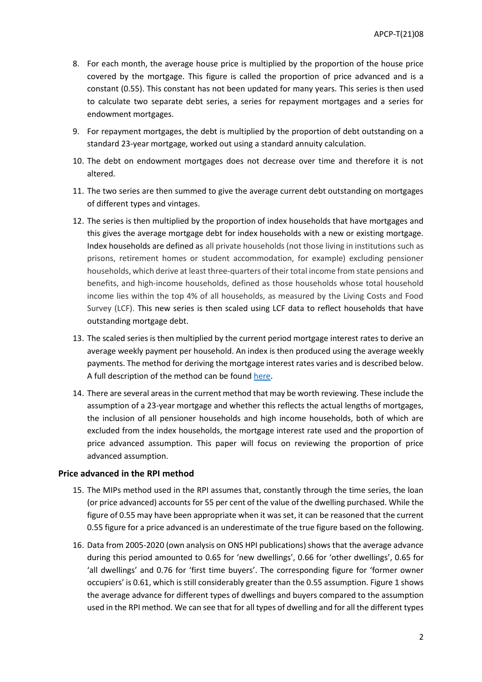- 8. For each month, the average house price is multiplied by the proportion of the house price covered by the mortgage. This figure is called the proportion of price advanced and is a constant (0.55). This constant has not been updated for many years. This series is then used to calculate two separate debt series, a series for repayment mortgages and a series for endowment mortgages.
- 9. For repayment mortgages, the debt is multiplied by the proportion of debt outstanding on a standard 23-year mortgage, worked out using a standard annuity calculation.
- 10. The debt on endowment mortgages does not decrease over time and therefore it is not altered.
- 11. The two series are then summed to give the average current debt outstanding on mortgages of different types and vintages.
- 12. The series is then multiplied by the proportion of index households that have mortgages and this gives the average mortgage debt for index households with a new or existing mortgage. Index households are defined as all private households (not those living in institutions such as prisons, retirement homes or student accommodation, for example) excluding pensioner households, which derive at least three-quarters of their total income from state pensions and benefits, and high-income households, defined as those households whose total household income lies within the top 4% of all households, as measured by the Living Costs and Food Survey (LCF). This new series is then scaled using LCF data to reflect households that have outstanding mortgage debt.
- 13. The scaled series is then multiplied by the current period mortgage interest rates to derive an average weekly payment per household. An index is then produced using the average weekly payments. The method for deriving the mortgage interest rates varies and is described below. A full description of the method can be foun[d here.](https://www.ons.gov.uk/economy/inflationandpriceindices/methodologies/consumerpricesindicestechnicalmanual2019#retail-prices-index)
- 14. There are several areas in the current method that may be worth reviewing. These include the assumption of a 23-year mortgage and whether this reflects the actual lengths of mortgages, the inclusion of all pensioner households and high income households, both of which are excluded from the index households, the mortgage interest rate used and the proportion of price advanced assumption. This paper will focus on reviewing the proportion of price advanced assumption.

#### **Price advanced in the RPI method**

- 15. The MIPs method used in the RPI assumes that, constantly through the time series, the loan (or price advanced) accounts for 55 per cent of the value of the dwelling purchased. While the figure of 0.55 may have been appropriate when it was set, it can be reasoned that the current 0.55 figure for a price advanced is an underestimate of the true figure based on the following.
- 16. Data from 2005-2020 (own analysis on ONS HPI publications) shows that the average advance during this period amounted to 0.65 for 'new dwellings', 0.66 for 'other dwellings', 0.65 for 'all dwellings' and 0.76 for 'first time buyers'. The corresponding figure for 'former owner occupiers' is 0.61, which is still considerably greater than the 0.55 assumption. Figure 1 shows the average advance for different types of dwellings and buyers compared to the assumption used in the RPI method. We can see that for all types of dwelling and for all the different types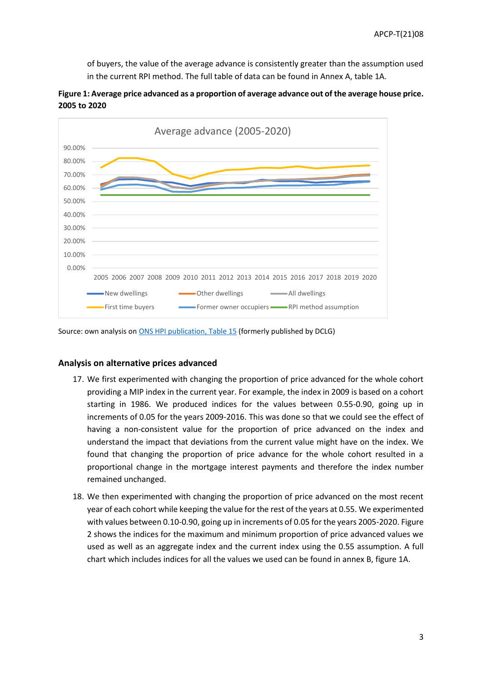of buyers, the value of the average advance is consistently greater than the assumption used in the current RPI method. The full table of data can be found in Annex A, table 1A.



**Figure 1: Average price advanced as a proportion of average advance out of the average house price. 2005 to 2020**

Source: own analysis o[n ONS HPI publication, Table 15](https://www.ons.gov.uk/file?uri=/economy/inflationandpriceindices/datasets/housepriceindexmonthlyquarterlytables1to19/current/hpimonthlyandqtlytables1to19.xls) (formerly published by DCLG)

#### **Analysis on alternative prices advanced**

- 17. We first experimented with changing the proportion of price advanced for the whole cohort providing a MIP index in the current year. For example, the index in 2009 is based on a cohort starting in 1986. We produced indices for the values between 0.55-0.90, going up in increments of 0.05 for the years 2009-2016. This was done so that we could see the effect of having a non-consistent value for the proportion of price advanced on the index and understand the impact that deviations from the current value might have on the index. We found that changing the proportion of price advance for the whole cohort resulted in a proportional change in the mortgage interest payments and therefore the index number remained unchanged.
- 18. We then experimented with changing the proportion of price advanced on the most recent year of each cohort while keeping the value for the rest of the years at 0.55. We experimented with values between 0.10-0.90, going up in increments of 0.05 for the years 2005-2020. Figure 2 shows the indices for the maximum and minimum proportion of price advanced values we used as well as an aggregate index and the current index using the 0.55 assumption. A full chart which includes indices for all the values we used can be found in annex B, figure 1A.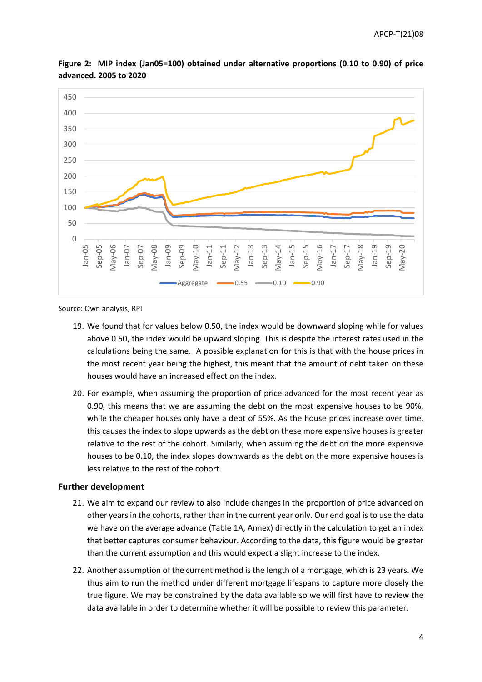

**Figure 2: MIP index (Jan05=100) obtained under alternative proportions (0.10 to 0.90) of price advanced. 2005 to 2020**

Source: Own analysis, RPI

- 19. We found that for values below 0.50, the index would be downward sloping while for values above 0.50, the index would be upward sloping. This is despite the interest rates used in the calculations being the same. A possible explanation for this is that with the house prices in the most recent year being the highest, this meant that the amount of debt taken on these houses would have an increased effect on the index.
- 20. For example, when assuming the proportion of price advanced for the most recent year as 0.90, this means that we are assuming the debt on the most expensive houses to be 90%, while the cheaper houses only have a debt of 55%. As the house prices increase over time, this causes the index to slope upwards as the debt on these more expensive houses is greater relative to the rest of the cohort. Similarly, when assuming the debt on the more expensive houses to be 0.10, the index slopes downwards as the debt on the more expensive houses is less relative to the rest of the cohort.

#### **Further development**

- 21. We aim to expand our review to also include changes in the proportion of price advanced on other years in the cohorts, rather than in the current year only. Our end goal is to use the data we have on the average advance (Table 1A, Annex) directly in the calculation to get an index that better captures consumer behaviour. According to the data, this figure would be greater than the current assumption and this would expect a slight increase to the index.
- 22. Another assumption of the current method is the length of a mortgage, which is 23 years. We thus aim to run the method under different mortgage lifespans to capture more closely the true figure. We may be constrained by the data available so we will first have to review the data available in order to determine whether it will be possible to review this parameter.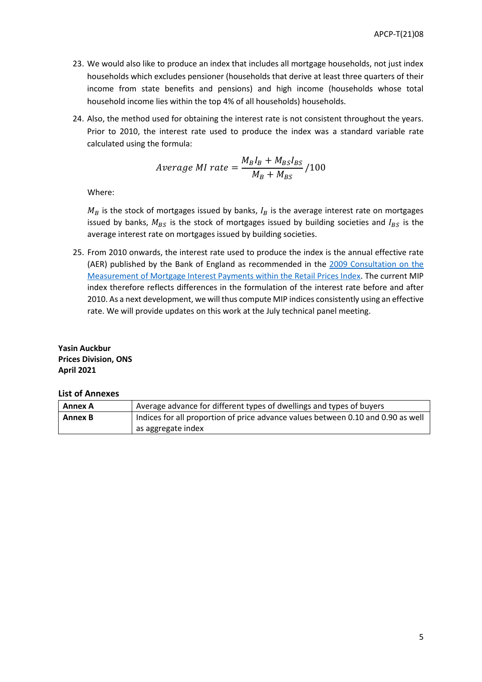- 23. We would also like to produce an index that includes all mortgage households, not just index households which excludes pensioner (households that derive at least three quarters of their income from state benefits and pensions) and high income (households whose total household income lies within the top 4% of all households) households.
- 24. Also, the method used for obtaining the interest rate is not consistent throughout the years. Prior to 2010, the interest rate used to produce the index was a standard variable rate calculated using the formula:

$$
Average\ MI\ rate = \frac{M_B I_B + M_{BS} I_{BS}}{M_B + M_{BS}} / 100
$$

Where:

 $M_B$  is the stock of mortgages issued by banks,  $I_B$  is the average interest rate on mortgages issued by banks,  $M_{BS}$  is the stock of mortgages issued by building societies and  $I_{BS}$  is the average interest rate on mortgages issued by building societies.

25. From 2010 onwards, the interest rate used to produce the index is the annual effective rate (AER) published by the Bank of England as recommended in the [2009 Consultation on the](https://webarchive.nationalarchives.gov.uk/20160108013514/http:/www.ons.gov.uk/ons/about-ons/consultations/closed-consultations/measurement-of-mortgage-interest-payments-within-the-retail-prices-index--2009-/index.html)  [Measurement of Mortgage Interest Payments within the Retail Prices Index.](https://webarchive.nationalarchives.gov.uk/20160108013514/http:/www.ons.gov.uk/ons/about-ons/consultations/closed-consultations/measurement-of-mortgage-interest-payments-within-the-retail-prices-index--2009-/index.html) The current MIP index therefore reflects differences in the formulation of the interest rate before and after 2010. As a next development, we will thus compute MIP indices consistently using an effective rate. We will provide updates on this work at the July technical panel meeting.

**Yasin Auckbur Prices Division, ONS April 2021**

## **List of Annexes**

| Annex A | Average advance for different types of dwellings and types of buyers             |  |  |  |  |
|---------|----------------------------------------------------------------------------------|--|--|--|--|
| Annex B | Indices for all proportion of price advance values between 0.10 and 0.90 as well |  |  |  |  |
|         | as aggregate index                                                               |  |  |  |  |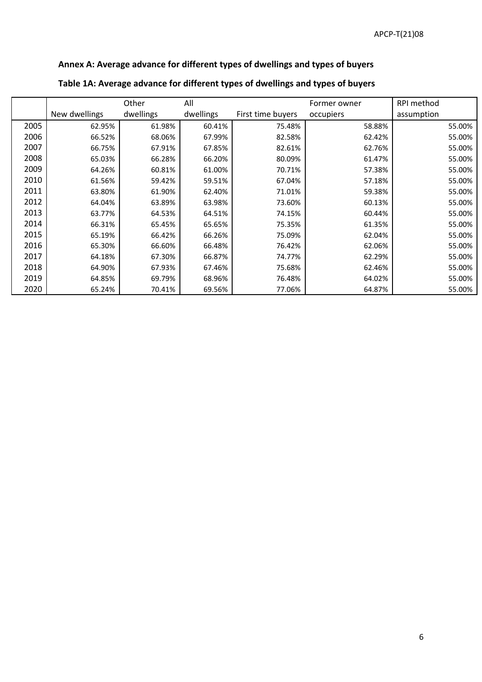# **Annex A: Average advance for different types of dwellings and types of buyers**

|      |               | Other     | All       |                   | Former owner | RPI method |
|------|---------------|-----------|-----------|-------------------|--------------|------------|
|      | New dwellings | dwellings | dwellings | First time buyers | occupiers    | assumption |
| 2005 | 62.95%        | 61.98%    | 60.41%    | 75.48%            | 58.88%       | 55.00%     |
| 2006 | 66.52%        | 68.06%    | 67.99%    | 82.58%            | 62.42%       | 55.00%     |
| 2007 | 66.75%        | 67.91%    | 67.85%    | 82.61%            | 62.76%       | 55.00%     |
| 2008 | 65.03%        | 66.28%    | 66.20%    | 80.09%            | 61.47%       | 55.00%     |
| 2009 | 64.26%        | 60.81%    | 61.00%    | 70.71%            | 57.38%       | 55.00%     |
| 2010 | 61.56%        | 59.42%    | 59.51%    | 67.04%            | 57.18%       | 55.00%     |
| 2011 | 63.80%        | 61.90%    | 62.40%    | 71.01%            | 59.38%       | 55.00%     |
| 2012 | 64.04%        | 63.89%    | 63.98%    | 73.60%            | 60.13%       | 55.00%     |
| 2013 | 63.77%        | 64.53%    | 64.51%    | 74.15%            | 60.44%       | 55.00%     |
| 2014 | 66.31%        | 65.45%    | 65.65%    | 75.35%            | 61.35%       | 55.00%     |
| 2015 | 65.19%        | 66.42%    | 66.26%    | 75.09%            | 62.04%       | 55.00%     |
| 2016 | 65.30%        | 66.60%    | 66.48%    | 76.42%            | 62.06%       | 55.00%     |
| 2017 | 64.18%        | 67.30%    | 66.87%    | 74.77%            | 62.29%       | 55.00%     |
| 2018 | 64.90%        | 67.93%    | 67.46%    | 75.68%            | 62.46%       | 55.00%     |
| 2019 | 64.85%        | 69.79%    | 68.96%    | 76.48%            | 64.02%       | 55.00%     |
| 2020 | 65.24%        | 70.41%    | 69.56%    | 77.06%            | 64.87%       | 55.00%     |

## **Table 1A: Average advance for different types of dwellings and types of buyers**